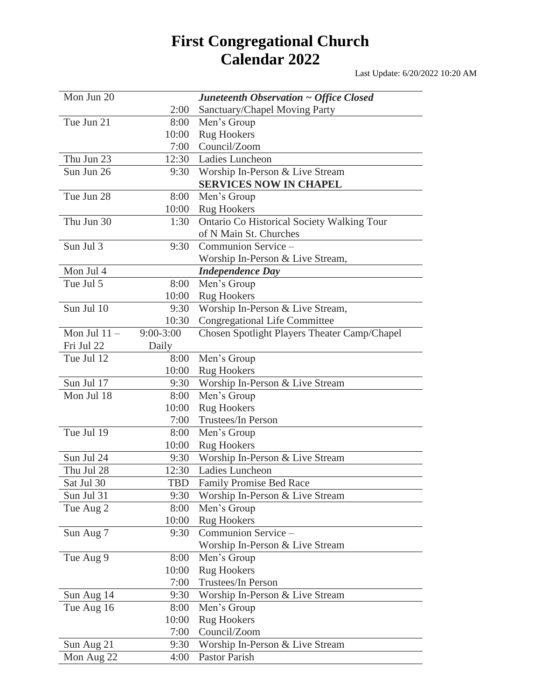## **First Congregational Church Calendar 2022**

Last Update: 6/20/2022 10:20 AM

| Mon Jun 20    |             | Juneteenth Observation ~ Office Closed       |
|---------------|-------------|----------------------------------------------|
|               | 2:00        | Sanctuary/Chapel Moving Party                |
| Tue Jun 21    | 8:00        | Men's Group                                  |
|               | 10:00       | <b>Rug Hookers</b>                           |
|               | 7:00        | Council/Zoom                                 |
| Thu Jun 23    | 12:30       | Ladies Luncheon                              |
| Sun Jun 26    | 9:30        | Worship In-Person & Live Stream              |
|               |             | <b>SERVICES NOW IN CHAPEL</b>                |
| Tue Jun 28    | 8:00        | Men's Group                                  |
|               | 10:00       | <b>Rug Hookers</b>                           |
| Thu Jun 30    | 1:30        | Ontario Co Historical Society Walking Tour   |
|               |             | of N Main St. Churches                       |
| Sun Jul 3     | 9:30        | Communion Service -                          |
|               |             | Worship In-Person & Live Stream,             |
| Mon Jul 4     |             | <b>Independence Day</b>                      |
| Tue Jul 5     | 8:00        | Men's Group                                  |
|               | 10:00       | <b>Rug Hookers</b>                           |
| Sun Jul 10    | 9:30        | Worship In-Person & Live Stream,             |
|               | 10:30       | <b>Congregational Life Committee</b>         |
| Mon Jul $11-$ | $9:00-3:00$ | Chosen Spotlight Players Theater Camp/Chapel |
| Fri Jul 22    | Daily       |                                              |
| Tue Jul 12    | 8:00        | Men's Group                                  |
|               | 10:00       | <b>Rug Hookers</b>                           |
| Sun Jul 17    | 9:30        | Worship In-Person & Live Stream              |
| Mon Jul 18    | 8:00        | Men's Group                                  |
|               | 10:00       | <b>Rug Hookers</b>                           |
|               | 7:00        | Trustees/In Person                           |
| Tue Jul 19    | 8:00        | Men's Group                                  |
|               | 10:00       | <b>Rug Hookers</b>                           |
| Sun Jul 24    | 9:30        | Worship In-Person & Live Stream              |
| Thu Jul 28    | 12:30       | Ladies Luncheon                              |
| Sat Jul 30    | TBD         | <b>Family Promise Bed Race</b>               |
| Sun Jul 31    | 9:30        | Worship In-Person & Live Stream              |
| Tue Aug 2     | 8:00        | Men's Group                                  |
|               | 10:00       | <b>Rug Hookers</b>                           |
| Sun Aug 7     | 9:30        | Communion Service -                          |
|               |             | Worship In-Person & Live Stream              |
| Tue Aug 9     | 8:00        | Men's Group                                  |
|               | 10:00       | <b>Rug Hookers</b>                           |
|               | 7:00        | <b>Trustees/In Person</b>                    |
| Sun Aug 14    | 9:30        | Worship In-Person & Live Stream              |
| Tue Aug 16    | 8:00        | Men's Group                                  |
|               | 10:00       | <b>Rug Hookers</b>                           |
|               | 7:00        | Council/Zoom                                 |
| Sun Aug 21    | 9:30        | Worship In-Person & Live Stream              |
| Mon Aug 22    | 4:00        | Pastor Parish                                |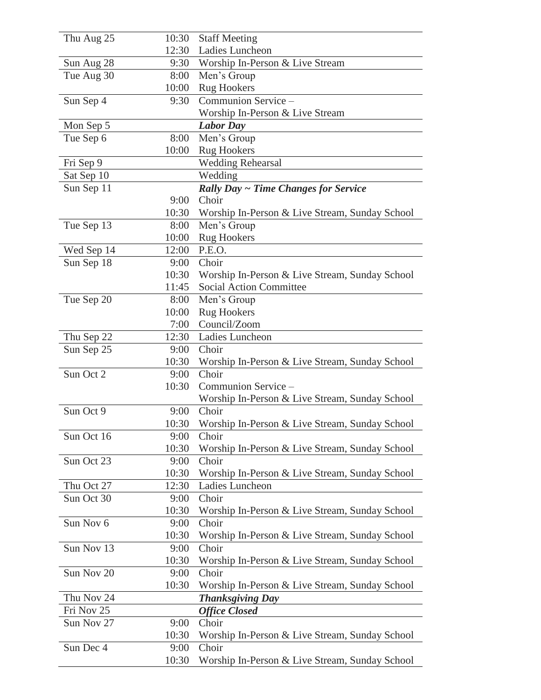| Thu Aug 25 | 10:30 | <b>Staff Meeting</b>                           |
|------------|-------|------------------------------------------------|
|            | 12:30 | Ladies Luncheon                                |
| Sun Aug 28 | 9:30  | Worship In-Person & Live Stream                |
| Tue Aug 30 | 8:00  | Men's Group                                    |
|            | 10:00 | <b>Rug Hookers</b>                             |
| Sun Sep 4  | 9:30  | Communion Service -                            |
|            |       | Worship In-Person & Live Stream                |
| Mon Sep 5  |       | <b>Labor Day</b>                               |
| Tue Sep 6  | 8:00  | Men's Group                                    |
|            | 10:00 | <b>Rug Hookers</b>                             |
| Fri Sep 9  |       | <b>Wedding Rehearsal</b>                       |
| Sat Sep 10 |       | Wedding                                        |
| Sun Sep 11 |       | <b>Rally Day ~ Time Changes for Service</b>    |
|            | 9:00  | Choir                                          |
|            | 10:30 | Worship In-Person & Live Stream, Sunday School |
| Tue Sep 13 | 8:00  | Men's Group                                    |
|            | 10:00 | <b>Rug Hookers</b>                             |
| Wed Sep 14 | 12:00 | P.E.O.                                         |
| Sun Sep 18 | 9:00  | Choir                                          |
|            | 10:30 | Worship In-Person & Live Stream, Sunday School |
|            | 11:45 | <b>Social Action Committee</b>                 |
| Tue Sep 20 | 8:00  | Men's Group                                    |
|            | 10:00 | <b>Rug Hookers</b>                             |
|            | 7:00  | Council/Zoom                                   |
| Thu Sep 22 | 12:30 | Ladies Luncheon                                |
| Sun Sep 25 | 9:00  | Choir                                          |
|            | 10:30 | Worship In-Person & Live Stream, Sunday School |
| Sun Oct 2  | 9:00  | Choir                                          |
|            | 10:30 | Communion Service -                            |
|            |       | Worship In-Person & Live Stream, Sunday School |
| Sun Oct 9  | 9:00  | Choir                                          |
|            | 10:30 | Worship In-Person & Live Stream, Sunday School |
| Sun Oct 16 | 9:00  | Choir                                          |
|            | 10:30 | Worship In-Person & Live Stream, Sunday School |
| Sun Oct 23 | 9:00  | Choir                                          |
|            | 10:30 | Worship In-Person & Live Stream, Sunday School |
| Thu Oct 27 | 12:30 | Ladies Luncheon                                |
| Sun Oct 30 | 9:00  | Choir                                          |
|            | 10:30 | Worship In-Person & Live Stream, Sunday School |
| Sun Nov 6  | 9:00  | Choir                                          |
|            | 10:30 | Worship In-Person & Live Stream, Sunday School |
| Sun Nov 13 | 9:00  | Choir                                          |
|            | 10:30 | Worship In-Person & Live Stream, Sunday School |
| Sun Nov 20 | 9:00  | Choir                                          |
|            | 10:30 | Worship In-Person & Live Stream, Sunday School |
| Thu Nov 24 |       | <b>Thanksgiving Day</b>                        |
| Fri Nov 25 |       | <b>Office Closed</b>                           |
| Sun Nov 27 | 9:00  | Choir                                          |
|            | 10:30 | Worship In-Person & Live Stream, Sunday School |
| Sun Dec 4  | 9:00  | Choir                                          |
|            | 10:30 | Worship In-Person & Live Stream, Sunday School |